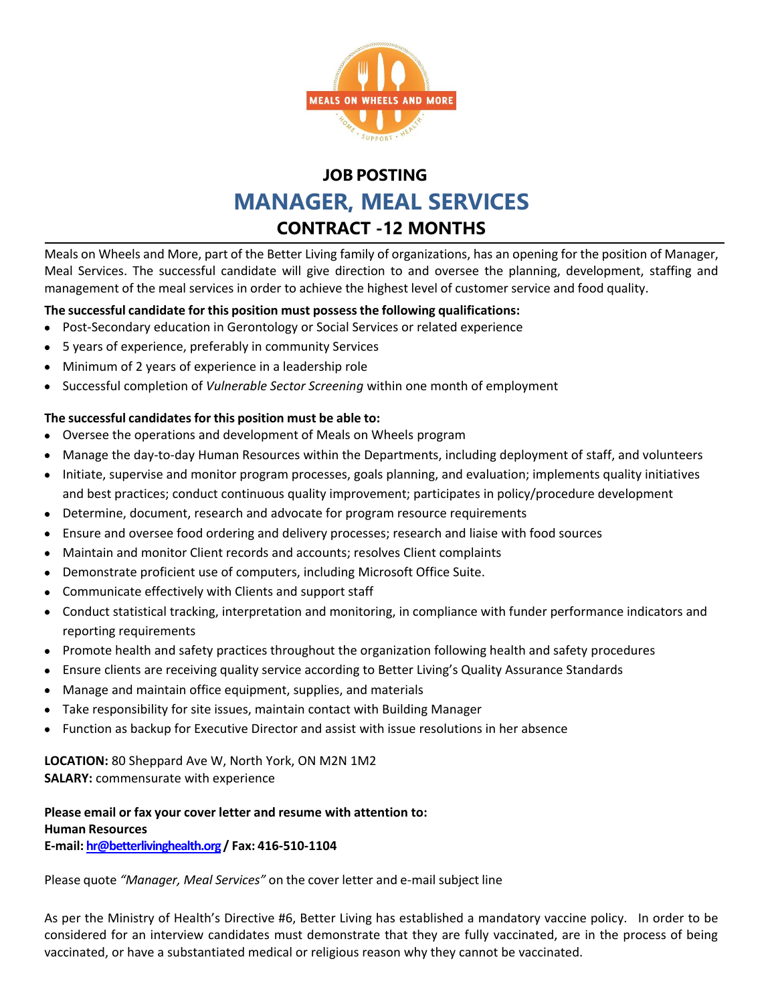

## **JOB POSTING MANAGER, MEAL SERVICES CONTRACT -12 MONTHS**

Meals on Wheels and More, part of the Better Living family of organizations, has an opening for the position of Manager, Meal Services. The successful candidate will give direction to and oversee the planning, development, staffing and management of the meal services in order to achieve the highest level of customer service and food quality.

## **The successful candidate for this position must possessthe following qualifications:**

- Post-Secondary education in Gerontology or Social Services or related experience
- 5 years of experience, preferably in community Services
- Minimum of 2 years of experience in a leadership role
- **Successful completion of** *Vulnerable Sector Screening* within one month of employment

## **The successful candidates for this position must be able to:**

- Oversee the operations and development of Meals on Wheels program
- Manage the day-to-day Human Resources within the Departments, including deployment of staff, and volunteers
- Initiate, supervise and monitor program processes, goals planning, and evaluation; implements quality initiatives and best practices; conduct continuous quality improvement; participates in policy/procedure development
- Determine, document, research and advocate for program resource requirements
- Ensure and oversee food ordering and delivery processes; research and liaise with food sources
- Maintain and monitor Client records and accounts; resolves Client complaints
- Demonstrate proficient use of computers, including Microsoft Office Suite.
- Communicate effectively with Clients and support staff
- Conduct statistical tracking, interpretation and monitoring, in compliance with funder performance indicators and reporting requirements
- Promote health and safety practices throughout the organization following health and safety procedures
- Ensure clients are receiving quality service according to Better Living's Quality Assurance Standards
- Manage and maintain office equipment, supplies, and materials
- Take responsibility for site issues, maintain contact with Building Manager
- Function as backup for Executive Director and assist with issue resolutions in her absence

**LOCATION:** 80 Sheppard Ave W, North York, ON M2N 1M2 **SALARY:** commensurate with experience

## **Please email or fax your cover letter and resume with attention to: Human Resources E‐mail: [hr@betterlivinghealth.org](mailto:hr@betterlivinghealth.org) / Fax: 416‐510‐1104**

Please quote *"Manager, Meal Services"* on the cover letter and e-mail subject line

As per the Ministry of Health's Directive #6, Better Living has established a mandatory vaccine policy. In order to be considered for an interview candidates must demonstrate that they are fully vaccinated, are in the process of being vaccinated, or have a substantiated medical or religious reason why they cannot be vaccinated.